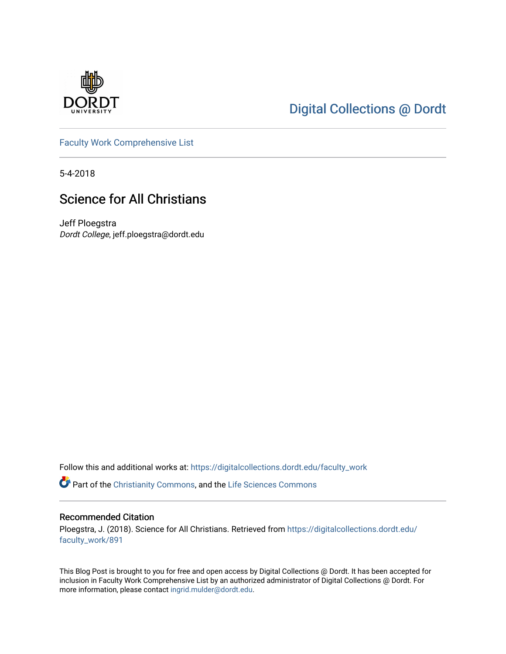

# [Digital Collections @ Dordt](https://digitalcollections.dordt.edu/)

[Faculty Work Comprehensive List](https://digitalcollections.dordt.edu/faculty_work)

5-4-2018

## Science for All Christians

Jeff Ploegstra Dordt College, jeff.ploegstra@dordt.edu

Follow this and additional works at: [https://digitalcollections.dordt.edu/faculty\\_work](https://digitalcollections.dordt.edu/faculty_work?utm_source=digitalcollections.dordt.edu%2Ffaculty_work%2F891&utm_medium=PDF&utm_campaign=PDFCoverPages) 

Part of the [Christianity Commons,](http://network.bepress.com/hgg/discipline/1181?utm_source=digitalcollections.dordt.edu%2Ffaculty_work%2F891&utm_medium=PDF&utm_campaign=PDFCoverPages) and the Life Sciences Commons

#### Recommended Citation

Ploegstra, J. (2018). Science for All Christians. Retrieved from [https://digitalcollections.dordt.edu/](https://digitalcollections.dordt.edu/faculty_work/891?utm_source=digitalcollections.dordt.edu%2Ffaculty_work%2F891&utm_medium=PDF&utm_campaign=PDFCoverPages) [faculty\\_work/891](https://digitalcollections.dordt.edu/faculty_work/891?utm_source=digitalcollections.dordt.edu%2Ffaculty_work%2F891&utm_medium=PDF&utm_campaign=PDFCoverPages)

This Blog Post is brought to you for free and open access by Digital Collections @ Dordt. It has been accepted for inclusion in Faculty Work Comprehensive List by an authorized administrator of Digital Collections @ Dordt. For more information, please contact [ingrid.mulder@dordt.edu.](mailto:ingrid.mulder@dordt.edu)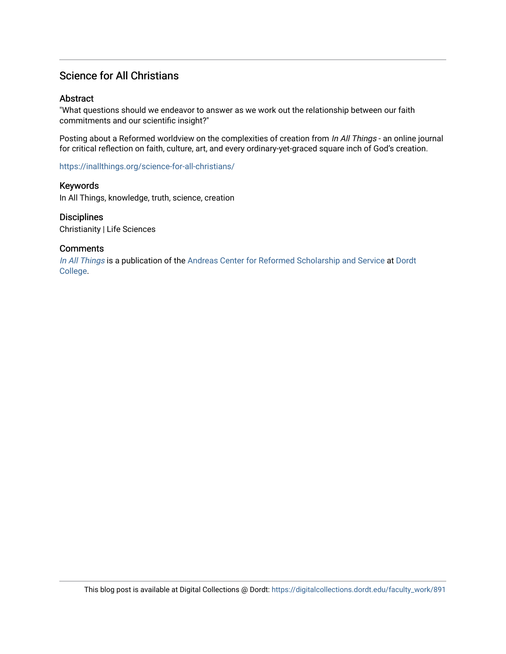### Science for All Christians

### **Abstract**

"What questions should we endeavor to answer as we work out the relationship between our faith commitments and our scientific insight?"

Posting about a Reformed worldview on the complexities of creation from In All Things - an online journal for critical reflection on faith, culture, art, and every ordinary-yet-graced square inch of God's creation.

<https://inallthings.org/science-for-all-christians/>

Keywords In All Things, knowledge, truth, science, creation

**Disciplines** Christianity | Life Sciences

### **Comments**

[In All Things](http://inallthings.org/) is a publication of the [Andreas Center for Reformed Scholarship and Service](http://www.dordt.edu/services_support/andreas_center/) at Dordt [College](http://www.dordt.edu/).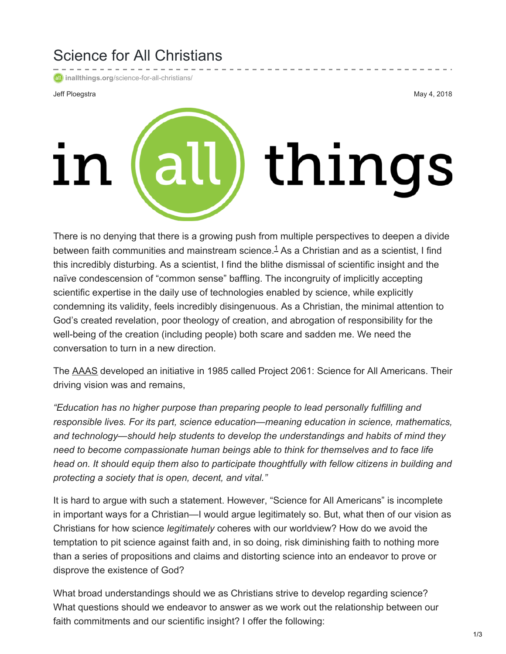# Science for All Christians

**inallthings.org**[/science-for-all-christians/](https://inallthings.org/science-for-all-christians/)

Jeff Ploegstra May 4, 2018

# all) things

There is no denying that there is a growing push from multiple perspectives to deepen a divide between faith communities and mainstream science.<sup>[1](https://inallthings.org/science-for-all-christians/#fn1-15028)</sup> As a Christian and as a scientist, I find this incredibly disturbing. As a scientist, I find the blithe dismissal of scientific insight and the naïve condescension of "common sense" baffling. The incongruity of implicitly accepting scientific expertise in the daily use of technologies enabled by science, while explicitly condemning its validity, feels incredibly disingenuous. As a Christian, the minimal attention to God's created revelation, poor theology of creation, and abrogation of responsibility for the well-being of the creation (including people) both scare and sadden me. We need the conversation to turn in a new direction.

The [AAAS](https://www.aaas.org/) developed an initiative in 1985 called Project 2061: Science for All Americans. Their driving vision was and remains,

*"Education has no higher purpose than preparing people to lead personally fulfilling and responsible lives. For its part, science education—meaning education in science, mathematics, and technology—should help students to develop the understandings and habits of mind they need to become compassionate human beings able to think for themselves and to face life head on. It should equip them also to participate thoughtfully with fellow citizens in building and protecting a society that is open, decent, and vital."*

It is hard to argue with such a statement. However, "Science for All Americans" is incomplete in important ways for a Christian—I would argue legitimately so. But, what then of our vision as Christians for how science *legitimately* coheres with our worldview? How do we avoid the temptation to pit science against faith and, in so doing, risk diminishing faith to nothing more than a series of propositions and claims and distorting science into an endeavor to prove or disprove the existence of God?

What broad understandings should we as Christians strive to develop regarding science? What questions should we endeavor to answer as we work out the relationship between our faith commitments and our scientific insight? I offer the following: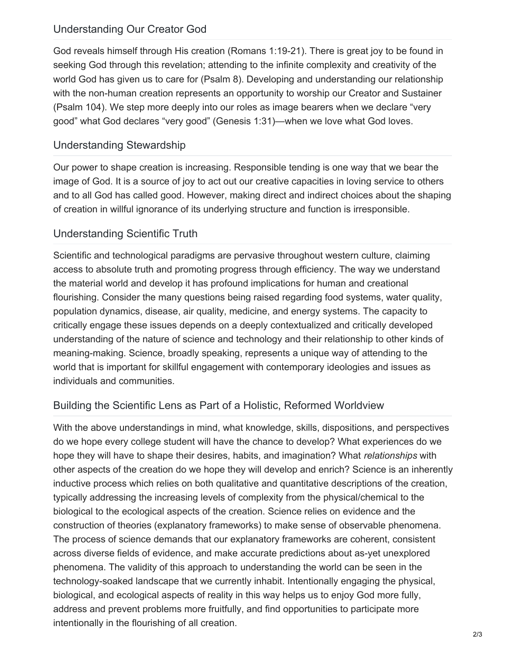### Understanding Our Creator God

God reveals himself through His creation (Romans 1:19-21). There is great joy to be found in seeking God through this revelation; attending to the infinite complexity and creativity of the world God has given us to care for (Psalm 8). Developing and understanding our relationship with the non-human creation represents an opportunity to worship our Creator and Sustainer (Psalm 104). We step more deeply into our roles as image bearers when we declare "very good" what God declares "very good" (Genesis 1:31)—when we love what God loves.

### Understanding Stewardship

Our power to shape creation is increasing. Responsible tending is one way that we bear the image of God. It is a source of joy to act out our creative capacities in loving service to others and to all God has called good. However, making direct and indirect choices about the shaping of creation in willful ignorance of its underlying structure and function is irresponsible.

## Understanding Scientific Truth

Scientific and technological paradigms are pervasive throughout western culture, claiming access to absolute truth and promoting progress through efficiency. The way we understand the material world and develop it has profound implications for human and creational flourishing. Consider the many questions being raised regarding food systems, water quality, population dynamics, disease, air quality, medicine, and energy systems. The capacity to critically engage these issues depends on a deeply contextualized and critically developed understanding of the nature of science and technology and their relationship to other kinds of meaning-making. Science, broadly speaking, represents a unique way of attending to the world that is important for skillful engagement with contemporary ideologies and issues as individuals and communities.

## Building the Scientific Lens as Part of a Holistic, Reformed Worldview

With the above understandings in mind, what knowledge, skills, dispositions, and perspectives do we hope every college student will have the chance to develop? What experiences do we hope they will have to shape their desires, habits, and imagination? What *relationships* with other aspects of the creation do we hope they will develop and enrich? Science is an inherently inductive process which relies on both qualitative and quantitative descriptions of the creation, typically addressing the increasing levels of complexity from the physical/chemical to the biological to the ecological aspects of the creation. Science relies on evidence and the construction of theories (explanatory frameworks) to make sense of observable phenomena. The process of science demands that our explanatory frameworks are coherent, consistent across diverse fields of evidence, and make accurate predictions about as-yet unexplored phenomena. The validity of this approach to understanding the world can be seen in the technology-soaked landscape that we currently inhabit. Intentionally engaging the physical, biological, and ecological aspects of reality in this way helps us to enjoy God more fully, address and prevent problems more fruitfully, and find opportunities to participate more intentionally in the flourishing of all creation.